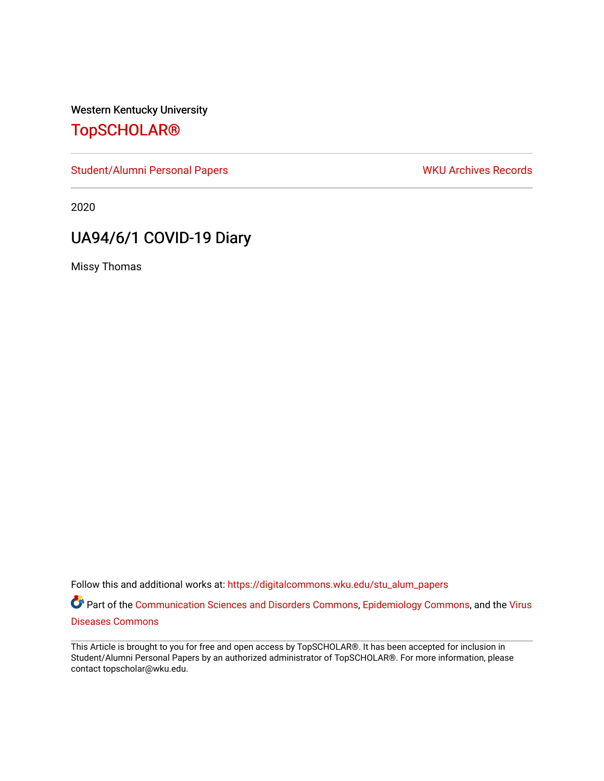Western Kentucky University

# [TopSCHOLAR®](https://digitalcommons.wku.edu/)

[Student/Alumni Personal Papers](https://digitalcommons.wku.edu/stu_alum_papers) WKU Archives Records

2020

# UA94/6/1 COVID-19 Diary

Missy Thomas

Follow this and additional works at: [https://digitalcommons.wku.edu/stu\\_alum\\_papers](https://digitalcommons.wku.edu/stu_alum_papers?utm_source=digitalcommons.wku.edu%2Fstu_alum_papers%2F266&utm_medium=PDF&utm_campaign=PDFCoverPages) 

Part of the [Communication Sciences and Disorders Commons](http://network.bepress.com/hgg/discipline/1019?utm_source=digitalcommons.wku.edu%2Fstu_alum_papers%2F266&utm_medium=PDF&utm_campaign=PDFCoverPages), [Epidemiology Commons](http://network.bepress.com/hgg/discipline/740?utm_source=digitalcommons.wku.edu%2Fstu_alum_papers%2F266&utm_medium=PDF&utm_campaign=PDFCoverPages), and the [Virus](http://network.bepress.com/hgg/discipline/998?utm_source=digitalcommons.wku.edu%2Fstu_alum_papers%2F266&utm_medium=PDF&utm_campaign=PDFCoverPages) [Diseases Commons](http://network.bepress.com/hgg/discipline/998?utm_source=digitalcommons.wku.edu%2Fstu_alum_papers%2F266&utm_medium=PDF&utm_campaign=PDFCoverPages) 

This Article is brought to you for free and open access by TopSCHOLAR®. It has been accepted for inclusion in Student/Alumni Personal Papers by an authorized administrator of TopSCHOLAR®. For more information, please contact topscholar@wku.edu.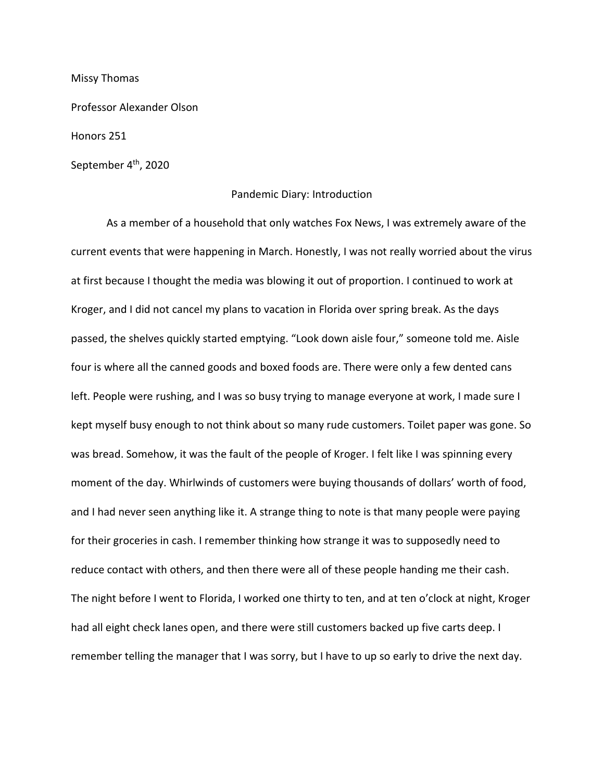Missy Thomas

Professor Alexander Olson

Honors 251

September 4<sup>th</sup>, 2020

#### Pandemic Diary: Introduction

As a member of a household that only watches Fox News, I was extremely aware of the current events that were happening in March. Honestly, I was not really worried about the virus at first because I thought the media was blowing it out of proportion. I continued to work at Kroger, and I did not cancel my plans to vacation in Florida over spring break. As the days passed, the shelves quickly started emptying. "Look down aisle four," someone told me. Aisle four is where all the canned goods and boxed foods are. There were only a few dented cans left. People were rushing, and I was so busy trying to manage everyone at work, I made sure I kept myself busy enough to not think about so many rude customers. Toilet paper was gone. So was bread. Somehow, it was the fault of the people of Kroger. I felt like I was spinning every moment of the day. Whirlwinds of customers were buying thousands of dollars' worth of food, and I had never seen anything like it. A strange thing to note is that many people were paying for their groceries in cash. I remember thinking how strange it was to supposedly need to reduce contact with others, and then there were all of these people handing me their cash. The night before I went to Florida, I worked one thirty to ten, and at ten o'clock at night, Kroger had all eight check lanes open, and there were still customers backed up five carts deep. I remember telling the manager that I was sorry, but I have to up so early to drive the next day.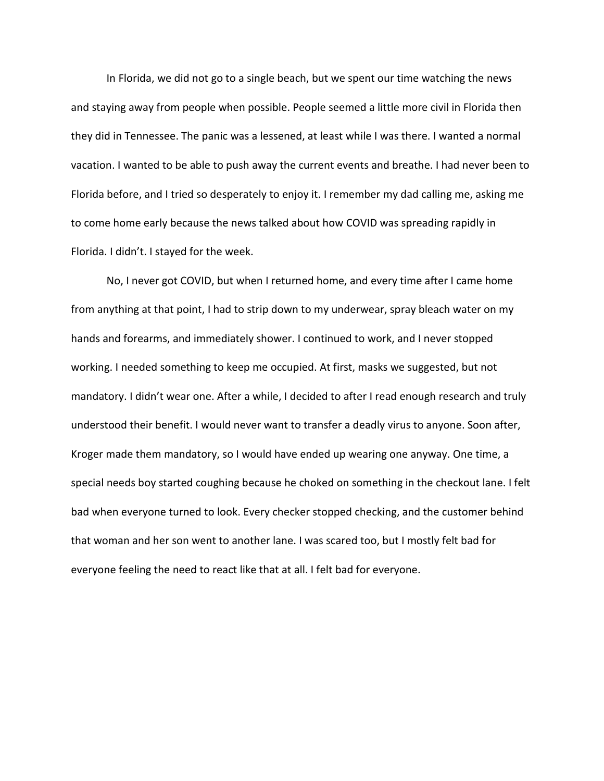In Florida, we did not go to a single beach, but we spent our time watching the news and staying away from people when possible. People seemed a little more civil in Florida then they did in Tennessee. The panic was a lessened, at least while I was there. I wanted a normal vacation. I wanted to be able to push away the current events and breathe. I had never been to Florida before, and I tried so desperately to enjoy it. I remember my dad calling me, asking me to come home early because the news talked about how COVID was spreading rapidly in Florida. I didn't. I stayed for the week.

No, I never got COVID, but when I returned home, and every time after I came home from anything at that point, I had to strip down to my underwear, spray bleach water on my hands and forearms, and immediately shower. I continued to work, and I never stopped working. I needed something to keep me occupied. At first, masks we suggested, but not mandatory. I didn't wear one. After a while, I decided to after I read enough research and truly understood their benefit. I would never want to transfer a deadly virus to anyone. Soon after, Kroger made them mandatory, so I would have ended up wearing one anyway. One time, a special needs boy started coughing because he choked on something in the checkout lane. I felt bad when everyone turned to look. Every checker stopped checking, and the customer behind that woman and her son went to another lane. I was scared too, but I mostly felt bad for everyone feeling the need to react like that at all. I felt bad for everyone.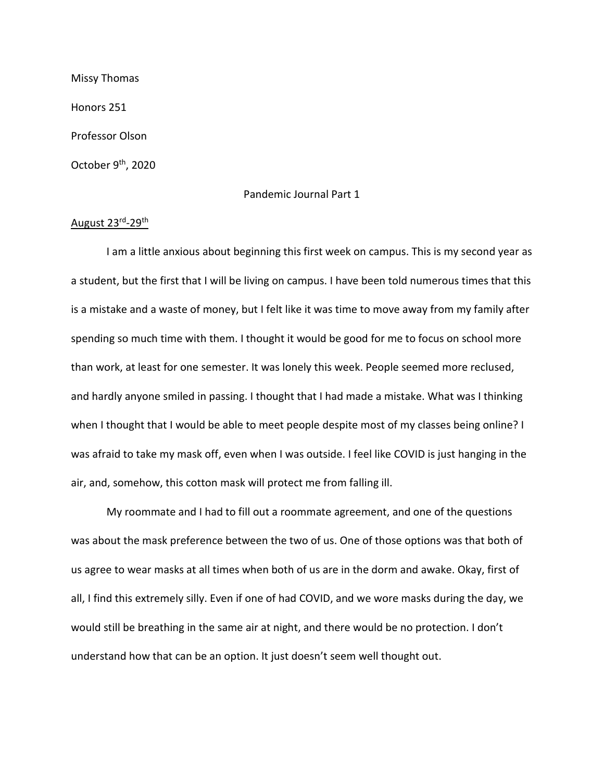Missy Thomas Honors 251 Professor Olson October 9<sup>th</sup>, 2020

## Pandemic Journal Part 1

# August 23rd-29th

I am a little anxious about beginning this first week on campus. This is my second year as a student, but the first that I will be living on campus. I have been told numerous times that this is a mistake and a waste of money, but I felt like it was time to move away from my family after spending so much time with them. I thought it would be good for me to focus on school more than work, at least for one semester. It was lonely this week. People seemed more reclused, and hardly anyone smiled in passing. I thought that I had made a mistake. What was I thinking when I thought that I would be able to meet people despite most of my classes being online? I was afraid to take my mask off, even when I was outside. I feel like COVID is just hanging in the air, and, somehow, this cotton mask will protect me from falling ill.

My roommate and I had to fill out a roommate agreement, and one of the questions was about the mask preference between the two of us. One of those options was that both of us agree to wear masks at all times when both of us are in the dorm and awake. Okay, first of all, I find this extremely silly. Even if one of had COVID, and we wore masks during the day, we would still be breathing in the same air at night, and there would be no protection. I don't understand how that can be an option. It just doesn't seem well thought out.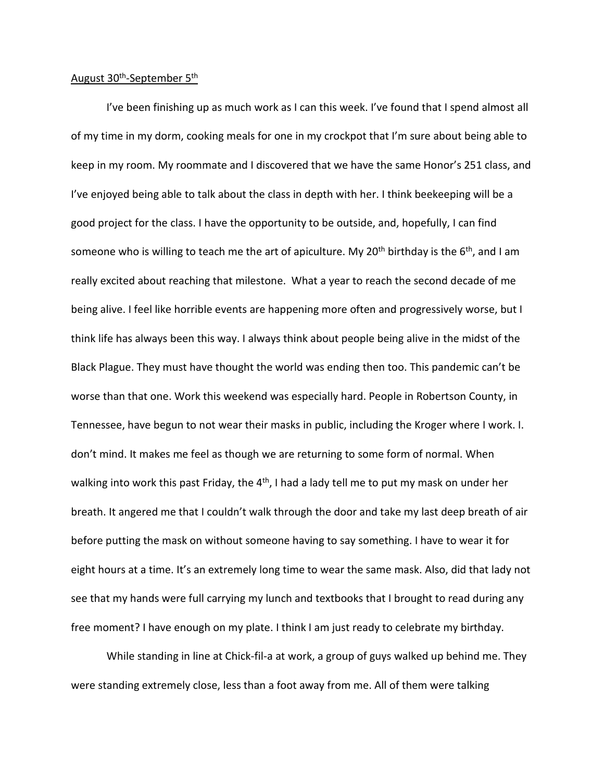#### August 30<sup>th</sup>-September 5<sup>th</sup>

I've been finishing up as much work as I can this week. I've found that I spend almost all of my time in my dorm, cooking meals for one in my crockpot that I'm sure about being able to keep in my room. My roommate and I discovered that we have the same Honor's 251 class, and I've enjoyed being able to talk about the class in depth with her. I think beekeeping will be a good project for the class. I have the opportunity to be outside, and, hopefully, I can find someone who is willing to teach me the art of apiculture. My 20<sup>th</sup> birthday is the  $6<sup>th</sup>$ , and I am really excited about reaching that milestone. What a year to reach the second decade of me being alive. I feel like horrible events are happening more often and progressively worse, but I think life has always been this way. I always think about people being alive in the midst of the Black Plague. They must have thought the world was ending then too. This pandemic can't be worse than that one. Work this weekend was especially hard. People in Robertson County, in Tennessee, have begun to not wear their masks in public, including the Kroger where I work. I. don't mind. It makes me feel as though we are returning to some form of normal. When walking into work this past Friday, the 4<sup>th</sup>, I had a lady tell me to put my mask on under her breath. It angered me that I couldn't walk through the door and take my last deep breath of air before putting the mask on without someone having to say something. I have to wear it for eight hours at a time. It's an extremely long time to wear the same mask. Also, did that lady not see that my hands were full carrying my lunch and textbooks that I brought to read during any free moment? I have enough on my plate. I think I am just ready to celebrate my birthday.

While standing in line at Chick-fil-a at work, a group of guys walked up behind me. They were standing extremely close, less than a foot away from me. All of them were talking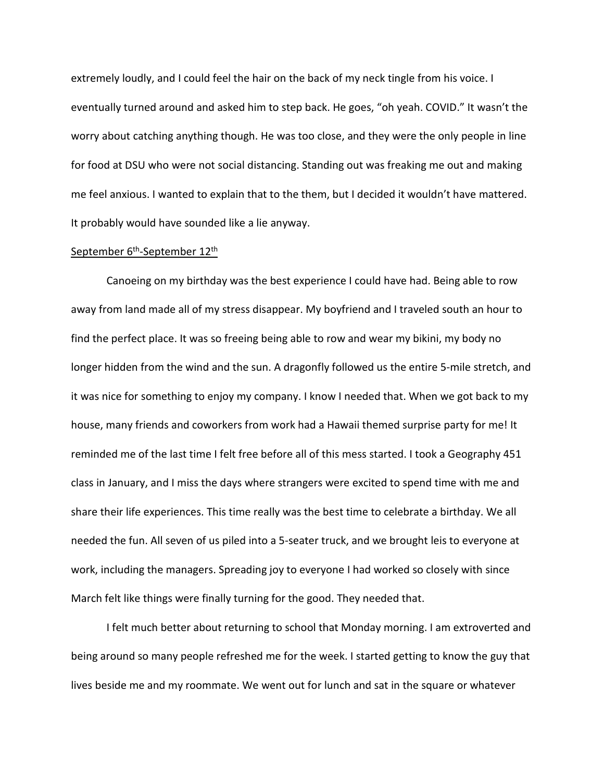extremely loudly, and I could feel the hair on the back of my neck tingle from his voice. I eventually turned around and asked him to step back. He goes, "oh yeah. COVID." It wasn't the worry about catching anything though. He was too close, and they were the only people in line for food at DSU who were not social distancing. Standing out was freaking me out and making me feel anxious. I wanted to explain that to the them, but I decided it wouldn't have mattered. It probably would have sounded like a lie anyway.

#### September 6<sup>th</sup>-September 12<sup>th</sup>

Canoeing on my birthday was the best experience I could have had. Being able to row away from land made all of my stress disappear. My boyfriend and I traveled south an hour to find the perfect place. It was so freeing being able to row and wear my bikini, my body no longer hidden from the wind and the sun. A dragonfly followed us the entire 5-mile stretch, and it was nice for something to enjoy my company. I know I needed that. When we got back to my house, many friends and coworkers from work had a Hawaii themed surprise party for me! It reminded me of the last time I felt free before all of this mess started. I took a Geography 451 class in January, and I miss the days where strangers were excited to spend time with me and share their life experiences. This time really was the best time to celebrate a birthday. We all needed the fun. All seven of us piled into a 5-seater truck, and we brought leis to everyone at work, including the managers. Spreading joy to everyone I had worked so closely with since March felt like things were finally turning for the good. They needed that.

I felt much better about returning to school that Monday morning. I am extroverted and being around so many people refreshed me for the week. I started getting to know the guy that lives beside me and my roommate. We went out for lunch and sat in the square or whatever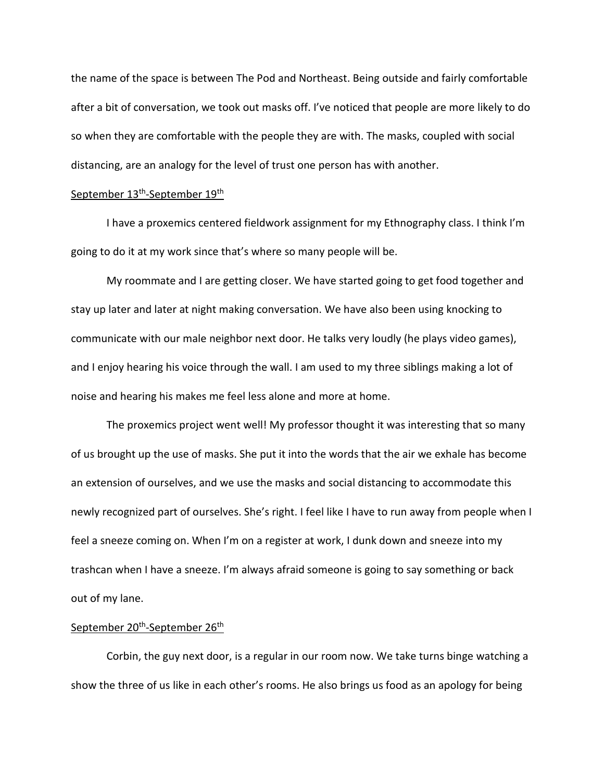the name of the space is between The Pod and Northeast. Being outside and fairly comfortable after a bit of conversation, we took out masks off. I've noticed that people are more likely to do so when they are comfortable with the people they are with. The masks, coupled with social distancing, are an analogy for the level of trust one person has with another.

### September 13<sup>th</sup>-September 19<sup>th</sup>

I have a proxemics centered fieldwork assignment for my Ethnography class. I think I'm going to do it at my work since that's where so many people will be.

My roommate and I are getting closer. We have started going to get food together and stay up later and later at night making conversation. We have also been using knocking to communicate with our male neighbor next door. He talks very loudly (he plays video games), and I enjoy hearing his voice through the wall. I am used to my three siblings making a lot of noise and hearing his makes me feel less alone and more at home.

The proxemics project went well! My professor thought it was interesting that so many of us brought up the use of masks. She put it into the words that the air we exhale has become an extension of ourselves, and we use the masks and social distancing to accommodate this newly recognized part of ourselves. She's right. I feel like I have to run away from people when I feel a sneeze coming on. When I'm on a register at work, I dunk down and sneeze into my trashcan when I have a sneeze. I'm always afraid someone is going to say something or back out of my lane.

#### September 20<sup>th</sup>-September 26<sup>th</sup>

Corbin, the guy next door, is a regular in our room now. We take turns binge watching a show the three of us like in each other's rooms. He also brings us food as an apology for being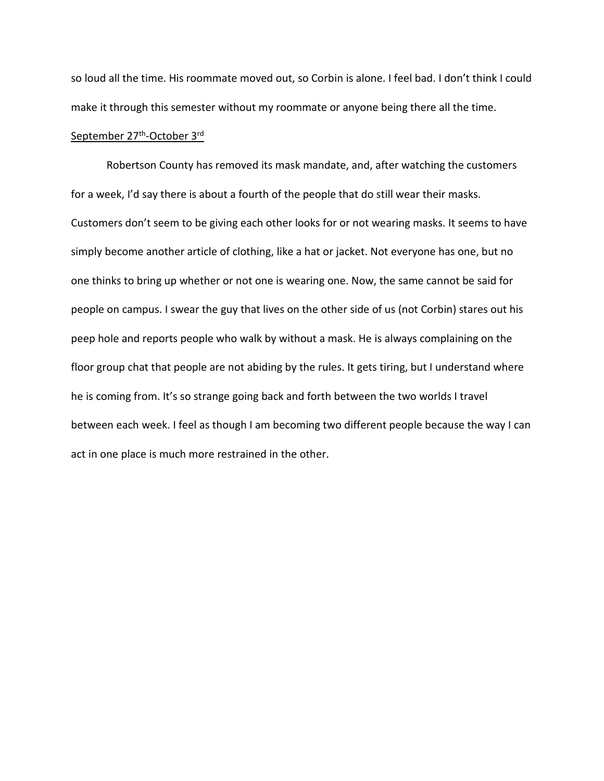so loud all the time. His roommate moved out, so Corbin is alone. I feel bad. I don't think I could make it through this semester without my roommate or anyone being there all the time.

#### September 27<sup>th</sup>-October 3<sup>rd</sup>

Robertson County has removed its mask mandate, and, after watching the customers for a week, I'd say there is about a fourth of the people that do still wear their masks. Customers don't seem to be giving each other looks for or not wearing masks. It seems to have simply become another article of clothing, like a hat or jacket. Not everyone has one, but no one thinks to bring up whether or not one is wearing one. Now, the same cannot be said for people on campus. I swear the guy that lives on the other side of us (not Corbin) stares out his peep hole and reports people who walk by without a mask. He is always complaining on the floor group chat that people are not abiding by the rules. It gets tiring, but I understand where he is coming from. It's so strange going back and forth between the two worlds I travel between each week. I feel as though I am becoming two different people because the way I can act in one place is much more restrained in the other.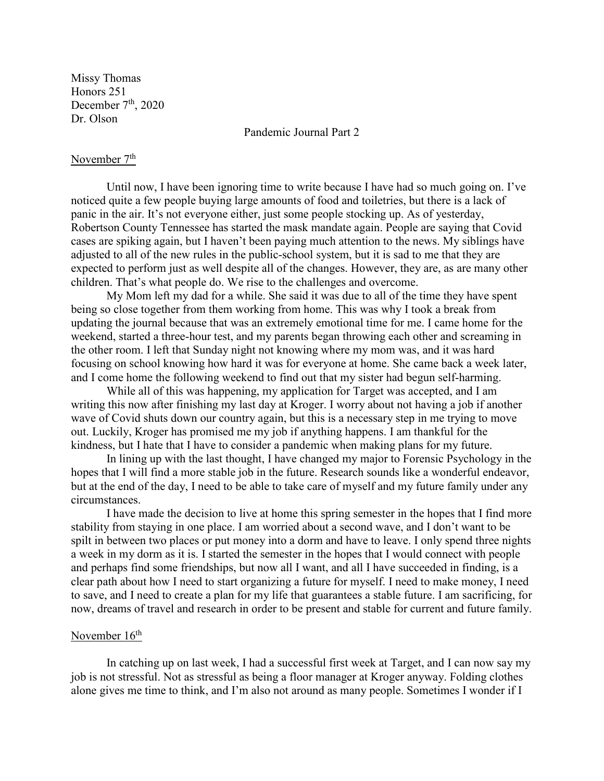Missy Thomas Honors 251 December  $7<sup>th</sup>$ , 2020 Dr. Olson

Pandemic Journal Part 2

# November  $7<sup>th</sup>$

Until now, I have been ignoring time to write because I have had so much going on. I've noticed quite a few people buying large amounts of food and toiletries, but there is a lack of panic in the air. It's not everyone either, just some people stocking up. As of yesterday, Robertson County Tennessee has started the mask mandate again. People are saying that Covid cases are spiking again, but I haven't been paying much attention to the news. My siblings have adjusted to all of the new rules in the public-school system, but it is sad to me that they are expected to perform just as well despite all of the changes. However, they are, as are many other children. That's what people do. We rise to the challenges and overcome.

My Mom left my dad for a while. She said it was due to all of the time they have spent being so close together from them working from home. This was why I took a break from updating the journal because that was an extremely emotional time for me. I came home for the weekend, started a three-hour test, and my parents began throwing each other and screaming in the other room. I left that Sunday night not knowing where my mom was, and it was hard focusing on school knowing how hard it was for everyone at home. She came back a week later, and I come home the following weekend to find out that my sister had begun self-harming.

While all of this was happening, my application for Target was accepted, and I am writing this now after finishing my last day at Kroger. I worry about not having a job if another wave of Covid shuts down our country again, but this is a necessary step in me trying to move out. Luckily, Kroger has promised me my job if anything happens. I am thankful for the kindness, but I hate that I have to consider a pandemic when making plans for my future.

In lining up with the last thought, I have changed my major to Forensic Psychology in the hopes that I will find a more stable job in the future. Research sounds like a wonderful endeavor, but at the end of the day, I need to be able to take care of myself and my future family under any circumstances.

I have made the decision to live at home this spring semester in the hopes that I find more stability from staying in one place. I am worried about a second wave, and I don't want to be spilt in between two places or put money into a dorm and have to leave. I only spend three nights a week in my dorm as it is. I started the semester in the hopes that I would connect with people and perhaps find some friendships, but now all I want, and all I have succeeded in finding, is a clear path about how I need to start organizing a future for myself. I need to make money, I need to save, and I need to create a plan for my life that guarantees a stable future. I am sacrificing, for now, dreams of travel and research in order to be present and stable for current and future family.

## November  $16<sup>th</sup>$

In catching up on last week, I had a successful first week at Target, and I can now say my job is not stressful. Not as stressful as being a floor manager at Kroger anyway. Folding clothes alone gives me time to think, and I'm also not around as many people. Sometimes I wonder if I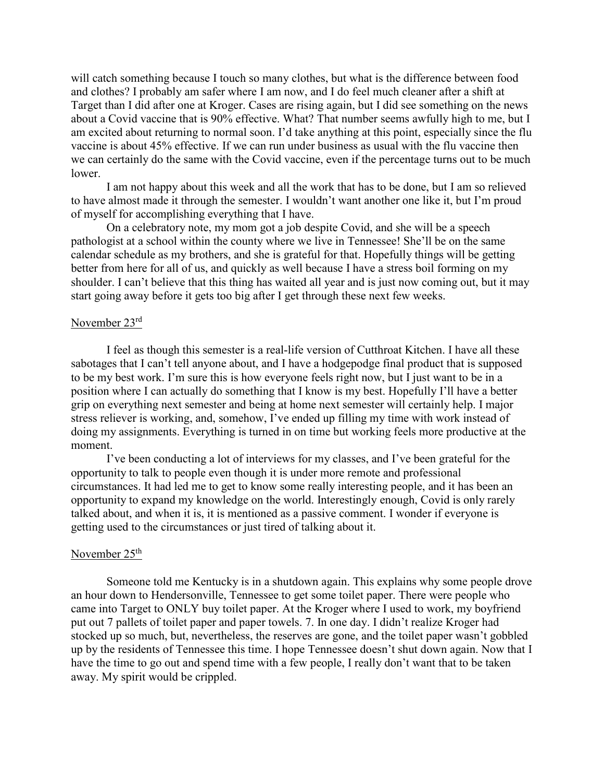will catch something because I touch so many clothes, but what is the difference between food and clothes? I probably am safer where I am now, and I do feel much cleaner after a shift at Target than I did after one at Kroger. Cases are rising again, but I did see something on the news about a Covid vaccine that is 90% effective. What? That number seems awfully high to me, but I am excited about returning to normal soon. I'd take anything at this point, especially since the flu vaccine is about 45% effective. If we can run under business as usual with the flu vaccine then we can certainly do the same with the Covid vaccine, even if the percentage turns out to be much lower.

I am not happy about this week and all the work that has to be done, but I am so relieved to have almost made it through the semester. I wouldn't want another one like it, but I'm proud of myself for accomplishing everything that I have.

On a celebratory note, my mom got a job despite Covid, and she will be a speech pathologist at a school within the county where we live in Tennessee! She'll be on the same calendar schedule as my brothers, and she is grateful for that. Hopefully things will be getting better from here for all of us, and quickly as well because I have a stress boil forming on my shoulder. I can't believe that this thing has waited all year and is just now coming out, but it may start going away before it gets too big after I get through these next few weeks.

## November 23rd

I feel as though this semester is a real-life version of Cutthroat Kitchen. I have all these sabotages that I can't tell anyone about, and I have a hodgepodge final product that is supposed to be my best work. I'm sure this is how everyone feels right now, but I just want to be in a position where I can actually do something that I know is my best. Hopefully I'll have a better grip on everything next semester and being at home next semester will certainly help. I major stress reliever is working, and, somehow, I've ended up filling my time with work instead of doing my assignments. Everything is turned in on time but working feels more productive at the moment.

I've been conducting a lot of interviews for my classes, and I've been grateful for the opportunity to talk to people even though it is under more remote and professional circumstances. It had led me to get to know some really interesting people, and it has been an opportunity to expand my knowledge on the world. Interestingly enough, Covid is only rarely talked about, and when it is, it is mentioned as a passive comment. I wonder if everyone is getting used to the circumstances or just tired of talking about it.

# November 25<sup>th</sup>

Someone told me Kentucky is in a shutdown again. This explains why some people drove an hour down to Hendersonville, Tennessee to get some toilet paper. There were people who came into Target to ONLY buy toilet paper. At the Kroger where I used to work, my boyfriend put out 7 pallets of toilet paper and paper towels. 7. In one day. I didn't realize Kroger had stocked up so much, but, nevertheless, the reserves are gone, and the toilet paper wasn't gobbled up by the residents of Tennessee this time. I hope Tennessee doesn't shut down again. Now that I have the time to go out and spend time with a few people, I really don't want that to be taken away. My spirit would be crippled.